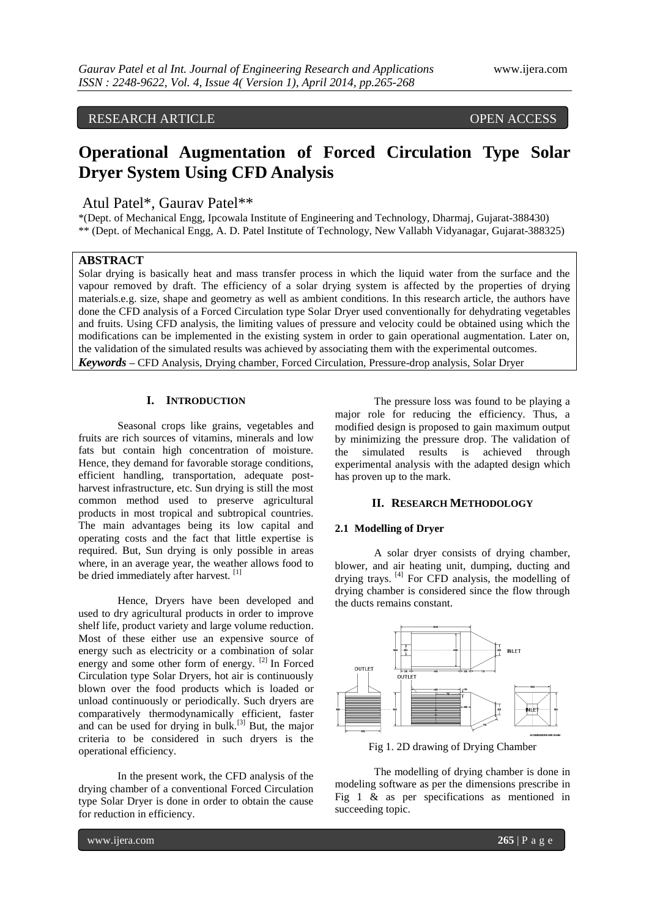# RESEARCH ARTICLE OPEN ACCESS

# **Operational Augmentation of Forced Circulation Type Solar Dryer System Using CFD Analysis**

## Atul Patel\*, Gaurav Patel\*\*

\*(Dept. of Mechanical Engg, Ipcowala Institute of Engineering and Technology, Dharmaj, Gujarat-388430) \*\* (Dept. of Mechanical Engg, A. D. Patel Institute of Technology, New Vallabh Vidyanagar, Gujarat-388325)

#### **ABSTRACT**

Solar drying is basically heat and mass transfer process in which the liquid water from the surface and the vapour removed by draft. The efficiency of a solar drying system is affected by the properties of drying materials.e.g. size, shape and geometry as well as ambient conditions. In this research article, the authors have done the CFD analysis of a Forced Circulation type Solar Dryer used conventionally for dehydrating vegetables and fruits. Using CFD analysis, the limiting values of pressure and velocity could be obtained using which the modifications can be implemented in the existing system in order to gain operational augmentation. Later on, the validation of the simulated results was achieved by associating them with the experimental outcomes. *Keywords* **–** CFD Analysis, Drying chamber, Forced Circulation, Pressure-drop analysis, Solar Dryer

#### **I. INTRODUCTION**

Seasonal crops like grains, vegetables and fruits are rich sources of vitamins, minerals and low fats but contain high concentration of moisture. Hence, they demand for favorable storage conditions, efficient handling, transportation, adequate postharvest infrastructure, etc. Sun drying is still the most common method used to preserve agricultural products in most tropical and subtropical countries. The main advantages being its low capital and operating costs and the fact that little expertise is required. But, Sun drying is only possible in areas where, in an average year, the weather allows food to be dried immediately after harvest.<sup>[1]</sup>

Hence, Dryers have been developed and used to dry agricultural products in order to improve shelf life, product variety and large volume reduction. Most of these either use an expensive source of energy such as electricity or a combination of solar energy and some other form of energy. [2] In Forced Circulation type Solar Dryers, hot air is continuously blown over the food products which is loaded or unload continuously or periodically. Such dryers are comparatively thermodynamically efficient, faster and can be used for drying in bulk.<sup>[3]</sup> But, the major criteria to be considered in such dryers is the operational efficiency.

In the present work, the CFD analysis of the drying chamber of a conventional Forced Circulation type Solar Dryer is done in order to obtain the cause for reduction in efficiency.

The pressure loss was found to be playing a major role for reducing the efficiency. Thus, a modified design is proposed to gain maximum output by minimizing the pressure drop. The validation of the simulated results is achieved through experimental analysis with the adapted design which has proven up to the mark.

#### **II. RESEARCH METHODOLOGY**

## **2.1 Modelling of Dryer**

A solar dryer consists of drying chamber, blower, and air heating unit, dumping, ducting and drying trays. <sup>[4]</sup> For CFD analysis, the modelling of drying chamber is considered since the flow through the ducts remains constant.



Fig 1. 2D drawing of Drying Chamber

The modelling of drying chamber is done in modeling software as per the dimensions prescribe in Fig 1 & as per specifications as mentioned in succeeding topic.

www.ijera.com **265** | P a g e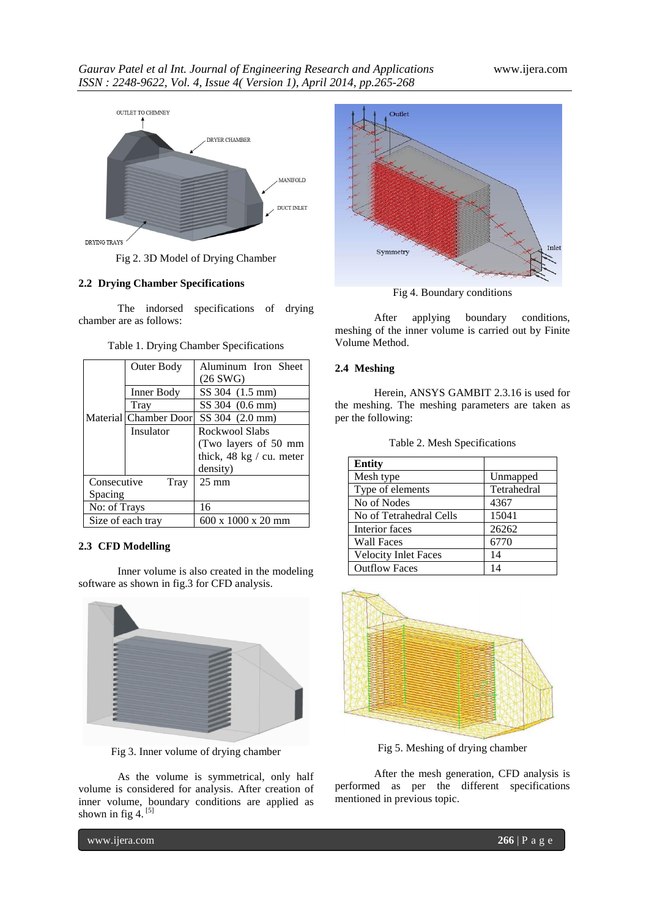

Fig 2. 3D Model of Drying Chamber

## **2.2 Drying Chamber Specifications**

The indorsed specifications of drying chamber are as follows:

|                     | Outer Body            | Aluminum Iron Sheet      |
|---------------------|-----------------------|--------------------------|
|                     |                       | $(26$ SWG)               |
|                     | Inner Body            | SS 304 (1.5 mm)          |
|                     | Tray                  | SS 304 (0.6 mm)          |
|                     | Material Chamber Door | SS 304 (2.0 mm)          |
|                     | Insulator             | Rockwool Slabs           |
|                     |                       | (Two layers of 50 mm     |
|                     |                       | thick, 48 kg / cu. meter |
|                     |                       | density)                 |
| Consecutive<br>Tray |                       | $25 \text{ mm}$          |
| Spacing             |                       |                          |
| No: of Trays        |                       | 16                       |
| Size of each tray   |                       | 600 x 1000 x 20 mm       |

Table 1. Drying Chamber Specifications

#### **2.3 CFD Modelling**

Inner volume is also created in the modeling software as shown in fig.3 for CFD analysis.



Fig 3. Inner volume of drying chamber

As the volume is symmetrical, only half volume is considered for analysis. After creation of inner volume, boundary conditions are applied as shown in fig 4.  $^{[5]}$ 



Fig 4. Boundary conditions

After applying boundary conditions, meshing of the inner volume is carried out by Finite Volume Method.

## **2.4 Meshing**

Herein, ANSYS GAMBIT 2.3.16 is used for the meshing. The meshing parameters are taken as per the following:

| Table 2. Mesh Specifications |  |  |  |
|------------------------------|--|--|--|
|------------------------------|--|--|--|

| <b>Entity</b>               |             |
|-----------------------------|-------------|
| Mesh type                   | Unmapped    |
| Type of elements            | Tetrahedral |
| No of Nodes                 | 4367        |
| No of Tetrahedral Cells     | 15041       |
| Interior faces              | 26262       |
| <b>Wall Faces</b>           | 6770        |
| <b>Velocity Inlet Faces</b> | 14          |
| <b>Outflow Faces</b>        | 14          |



Fig 5. Meshing of drying chamber

After the mesh generation, CFD analysis is performed as per the different specifications mentioned in previous topic.

www.ijera.com **266** | P a g e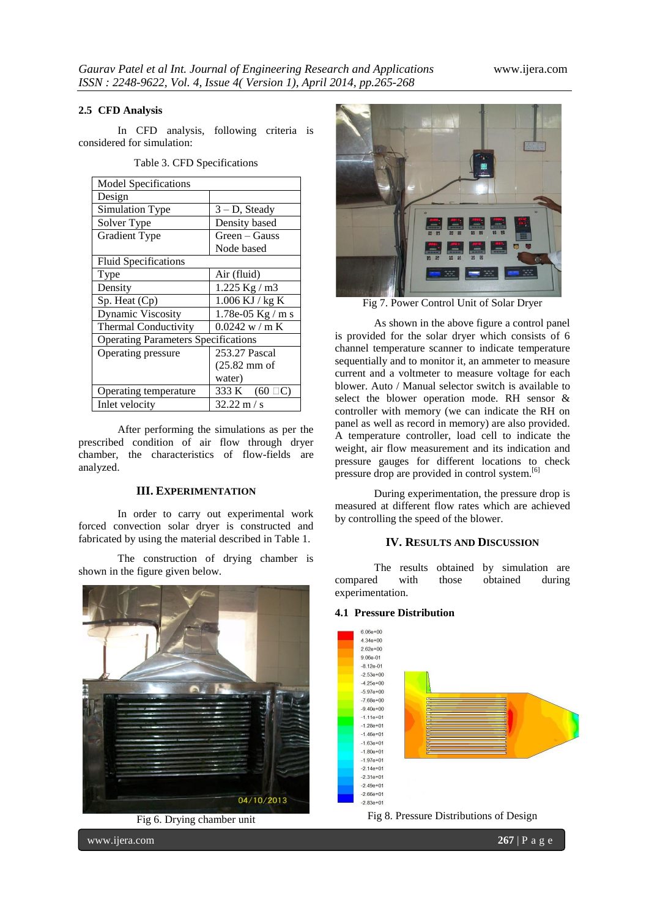## **2.5 CFD Analysis**

In CFD analysis, following criteria is considered for simulation:

| <b>Model Specifications</b>                |                     |  |  |  |
|--------------------------------------------|---------------------|--|--|--|
| Design                                     |                     |  |  |  |
| Simulation Type                            | $3 - D$ , Steady    |  |  |  |
| Solver Type                                | Density based       |  |  |  |
| <b>Gradient Type</b>                       | Green – Gauss       |  |  |  |
|                                            | Node based          |  |  |  |
| <b>Fluid Specifications</b>                |                     |  |  |  |
| Type                                       | Air (fluid)         |  |  |  |
| Density                                    | $1.225$ Kg / m3     |  |  |  |
| Sp. Heat (Cp)                              | $1.006$ KJ / kg K   |  |  |  |
| <b>Dynamic Viscosity</b>                   | 1.78e-05 Kg / m s   |  |  |  |
| <b>Thermal Conductivity</b>                | 0.0242 w/m K        |  |  |  |
| <b>Operating Parameters Specifications</b> |                     |  |  |  |
| Operating pressure                         | 253.27 Pascal       |  |  |  |
|                                            | $(25.82$ mm of      |  |  |  |
|                                            | water)              |  |  |  |
| Operating temperature                      | 333 K $(60 \Box C)$ |  |  |  |
| Inlet velocity                             | $32.22 \text{ m/s}$ |  |  |  |

Table 3. CFD Specifications

After performing the simulations as per the prescribed condition of air flow through dryer chamber, the characteristics of flow-fields are analyzed.

#### **III. EXPERIMENTATION**

In order to carry out experimental work forced convection solar dryer is constructed and fabricated by using the material described in Table 1.

The construction of drying chamber is shown in the figure given below.



Fig 6. Drying chamber unit



Fig 7. Power Control Unit of Solar Dryer

As shown in the above figure a control panel is provided for the solar dryer which consists of 6 channel temperature scanner to indicate temperature sequentially and to monitor it, an ammeter to measure current and a voltmeter to measure voltage for each blower. Auto / Manual selector switch is available to select the blower operation mode. RH sensor & controller with memory (we can indicate the RH on panel as well as record in memory) are also provided. A temperature controller, load cell to indicate the weight, air flow measurement and its indication and pressure gauges for different locations to check pressure drop are provided in control system.<sup>[6]</sup>

During experimentation, the pressure drop is measured at different flow rates which are achieved by controlling the speed of the blower.

## **IV. RESULTS AND DISCUSSION**

The results obtained by simulation are compared with those obtained during experimentation.

## **4.1 Pressure Distribution**



Fig 8. Pressure Distributions of Design

www.ijera.com **267** | P a g e